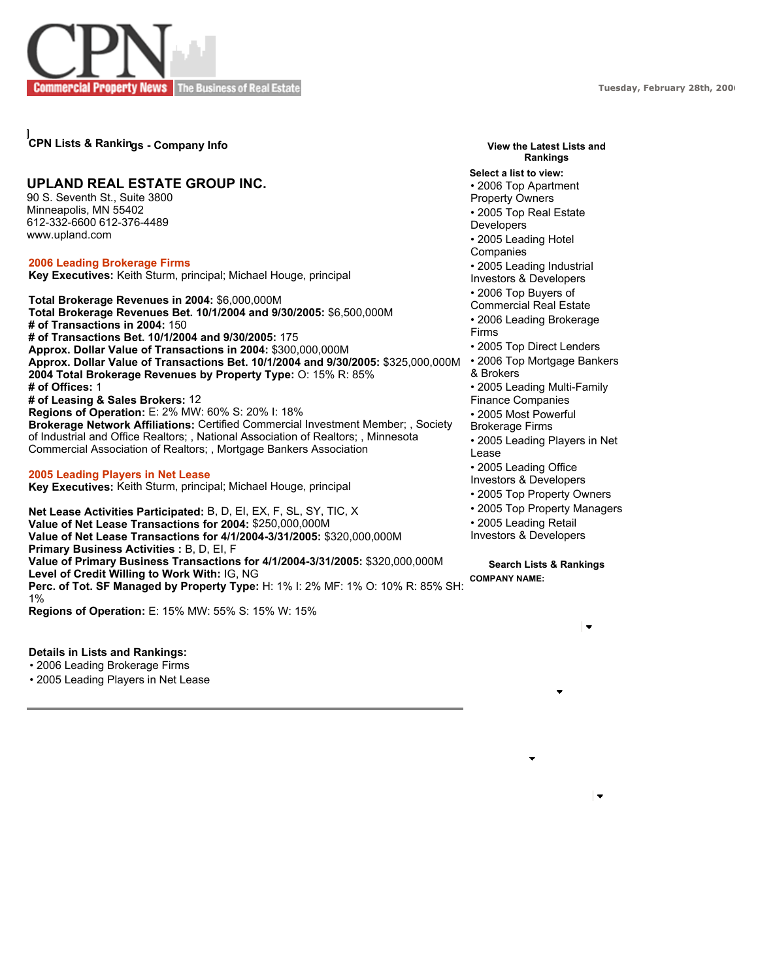**Tuesday, February 28th, 2006**



## **CPN Lists & Rankings - Company Info**

## **UPLAND REAL ESTATE GROUP INC.**

90 S. Seventh St., Suite 3800 Minneapolis, MN 55402 612-332-6600 612-376-4489 www.upland.com

**2006 Leading Brokerage Firms Key Executives:** Keith Sturm, principal; Michael Houge, principal

**Total Brokerage Revenues in 2004:** \$6,000,000M **Total Brokerage Revenues Bet. 10/1/2004 and 9/30/2005:** \$6,500,000M **# of Transactions in 2004:** 150 **# of Transactions Bet. 10/1/2004 and 9/30/2005:** 175 **Approx. Dollar Value of Transactions in 2004:** \$300,000,000M **Approx. Dollar Value of Transactions Bet. 10/1/2004 and 9/30/2005:** \$325,000,000M **2004 Total Brokerage Revenues by Property Type:** O: 15% R: 85% **# of Offices:** 1 **# of Leasing & Sales Brokers:** 12 **Regions of Operation:** E: 2% MW: 60% S: 20% I: 18% **Brokerage Network Affiliations:** Certified Commercial Investment Member; , Society of Industrial and Office Realtors; , National Association of Realtors; , Minnesota Commercial Association of Realtors; , Mortgage Bankers Association

## **2005 Leading Players in Net Lease**

**Key Executives:** Keith Sturm, principal; Michael Houge, principal

**Net Lease Activities Participated:** B, D, EI, EX, F, SL, SY, TIC, X **Value of Net Lease Transactions for 2004:** \$250,000,000M **Value of Net Lease Transactions for 4/1/2004-3/31/2005:** \$320,000,000M **Primary Business Activities :** B, D, EI, F **Value of Primary Business Transactions for 4/1/2004-3/31/2005:** \$320,000,000M **Level of Credit Willing to Work With:** IG, NG **Perc. of Tot. SF Managed by Property Type:** H: 1% I: 2% MF: 1% O: 10% R: 85% SH: 1% **Regions of Operation:** E: 15% MW: 55% S: 15% W: 15%

**Details in Lists and Rankings:**

• 2006 Leading Brokerage Firms

• 2005 Leading Players in Net Lease

## **View the Latest Lists and Rankings**

**Select a list to view:** • 2006 Top Apartment Property Owners • 2005 Top Real Estate Developers • 2005 Leading Hotel Companies • 2005 Leading Industrial Investors & Developers • 2006 Top Buyers of Commercial Real Estate • 2006 Leading Brokerage Firms • 2005 Top Direct Lenders • 2006 Top Mortgage Bankers & Brokers • 2005 Leading Multi-Family Finance Companies • 2005 Most Powerful Brokerage Firms • 2005 Leading Players in Net Lease • 2005 Leading Office Investors & Developers • 2005 Top Property Owners • 2005 Top Property Managers • 2005 Leading Retail Investors & Developers

**Search Lists & Rankings COMPANY NAME:**

 $\overline{\phantom{0}}$